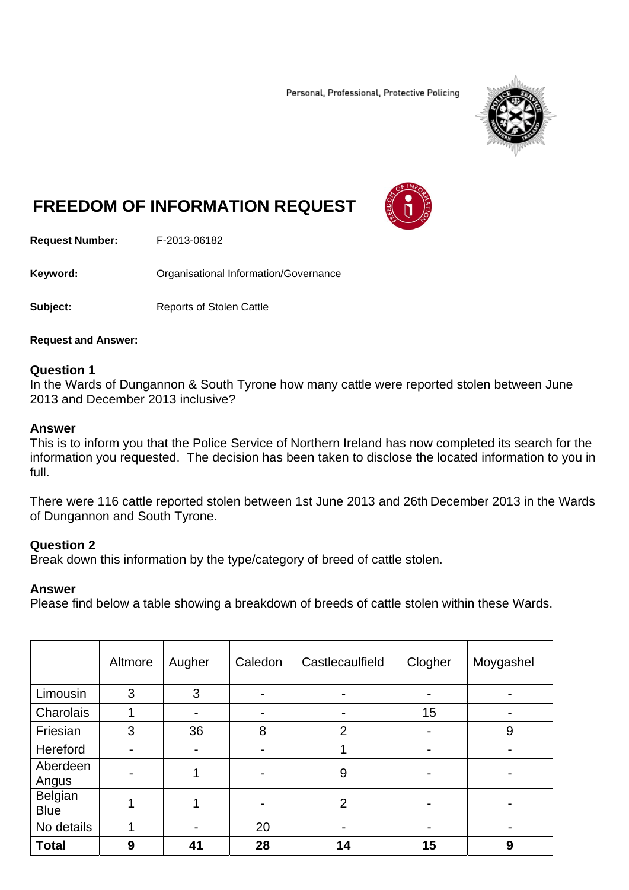Personal, Professional, Protective Policing



# **FREEDOM OF INFORMATION REQUEST**



**Request Number:** F-2013-06182

**Keyword: C**rganisational Information/Governance

**Subject:** Reports of Stolen Cattle

**Request and Answer:** 

#### **Question 1**

In the Wards of Dungannon & South Tyrone how many cattle were reported stolen between June 2013 and December 2013 inclusive?

#### **Answer**

This is to inform you that the Police Service of Northern Ireland has now completed its search for the information you requested. The decision has been taken to disclose the located information to you in full.

There were 116 cattle reported stolen between 1st June 2013 and 26th December 2013 in the Wards of Dungannon and South Tyrone.

## **Question 2**

Break down this information by the type/category of breed of cattle stolen.

## **Answer**

Please find below a table showing a breakdown of breeds of cattle stolen within these Wards.

|                               | Altmore | Augher | Caledon | Castlecaulfield | Clogher | Moygashel      |
|-------------------------------|---------|--------|---------|-----------------|---------|----------------|
| Limousin                      | 3       | 3      |         |                 |         |                |
| Charolais                     |         |        |         |                 | 15      |                |
| Friesian                      | 3       | 36     | 8       | $\overline{2}$  |         | 9              |
| Hereford                      |         |        |         |                 |         |                |
| Aberdeen<br>Angus             |         |        |         | 9               |         | $\blacksquare$ |
| <b>Belgian</b><br><b>Blue</b> |         |        |         | $\overline{2}$  |         |                |
| No details                    |         |        | 20      |                 |         | $\blacksquare$ |
| <b>Total</b>                  | 9       | 41     | 28      | 14              | 15      | 9              |